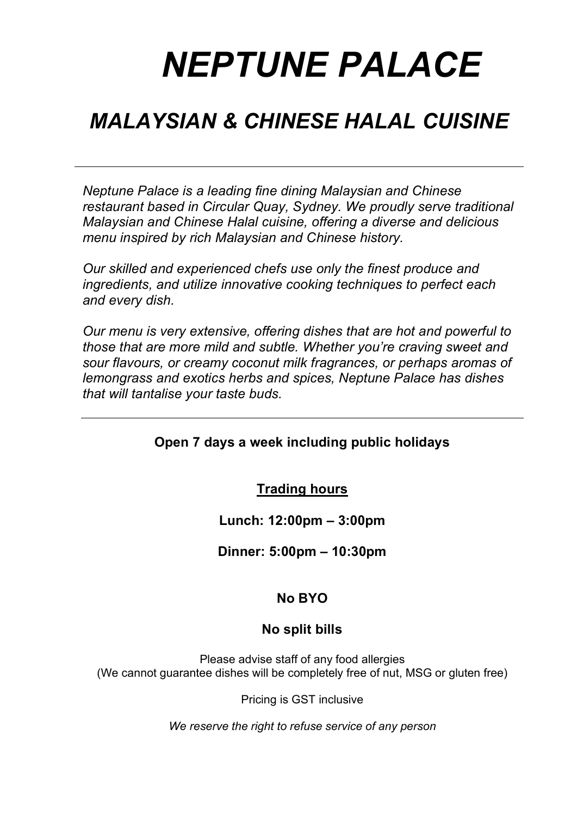# *NEPTUNE PALACE*

### *MALAYSIAN & CHINESE HALAL CUISINE*

*Neptune Palace is a leading fine dining Malaysian and Chinese restaurant based in Circular Quay, Sydney. We proudly serve traditional Malaysian and Chinese Halal cuisine, offering a diverse and delicious menu inspired by rich Malaysian and Chinese history.*

*Our skilled and experienced chefs use only the finest produce and ingredients, and utilize innovative cooking techniques to perfect each and every dish.*

*Our menu is very extensive, offering dishes that are hot and powerful to those that are more mild and subtle. Whether you're craving sweet and sour flavours, or creamy coconut milk fragrances, or perhaps aromas of lemongrass and exotics herbs and spices, Neptune Palace has dishes that will tantalise your taste buds.*

#### **Open 7 days a week including public holidays**

**Trading hours**

**Lunch: 12:00pm – 3:00pm**

**Dinner: 5:00pm – 10:30pm**

#### **No BYO**

#### **No split bills**

Please advise staff of any food allergies (We cannot guarantee dishes will be completely free of nut, MSG or gluten free)

Pricing is GST inclusive

*We reserve the right to refuse service of any person*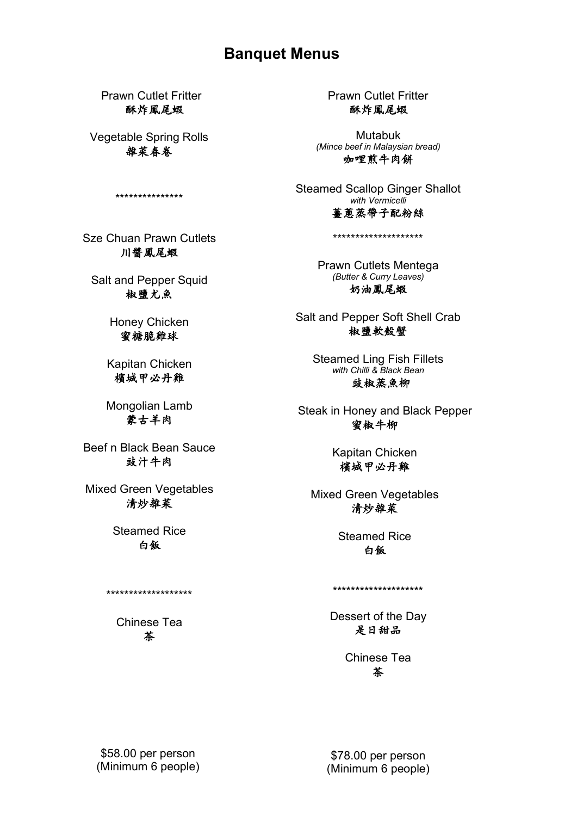#### **Banquet Menus**

Prawn Cutlet Fritter 酥炸鳳尾蝦

Vegetable Spring Rolls 雜菜春卷

\*\*\*\*\*\*\*\*\*\*\*\*\*\*\*

Sze Chuan Prawn Cutlets 川醬鳳尾蝦

Salt and Pepper Squid 椒鹽尤魚

> Honey Chicken 蜜糖脆雞球

Kapitan Chicken 檳城甲必丹雞

Mongolian Lamb 蒙古羊肉

Beef n Black Bean Sauce 鼓汁牛肉

Mixed Green Vegetables 清炒雜菜

> Steamed Rice 白飯

Chinese Tea 茶

\*\*\*\*\*\*\*\*\*\*\*\*\*\*\*\*\*\*\*

Prawn Cutlet Fritter 酥炸鳳尾蝦

Mutabuk *(Mince beef in Malaysian bread)* 咖哩煎牛肉餅

Steamed Scallop Ginger Shallot *with Vermicelli*  薑蔥蒸帶子配粉絲

\*\*\*\*\*\*\*\*\*\*\*\*\*\*\*\*\*\*\*\*

Prawn Cutlets Mentega *(Butter & Curry Leaves)* 奶油鳳尾蝦

Salt and Pepper Soft Shell Crab 椒鹽軟殼蟹

> Steamed Ling Fish Fillets *with Chilli & Black Bean* 豉椒蒸魚柳

Steak in Honey and Black Pepper 蜜椒牛柳

> Kapitan Chicken 檳城甲必丹雞

Mixed Green Vegetables 清炒雜菜

> Steamed Rice 白飯

\*\*\*\*\*\*\*\*\*\*\*\*\*\*\*\*\*\*\*\*

Dessert of the Day 是日甜品

> Chinese Tea 茶

\$58.00 per person (Minimum 6 people)

\$78.00 per person (Minimum 6 people)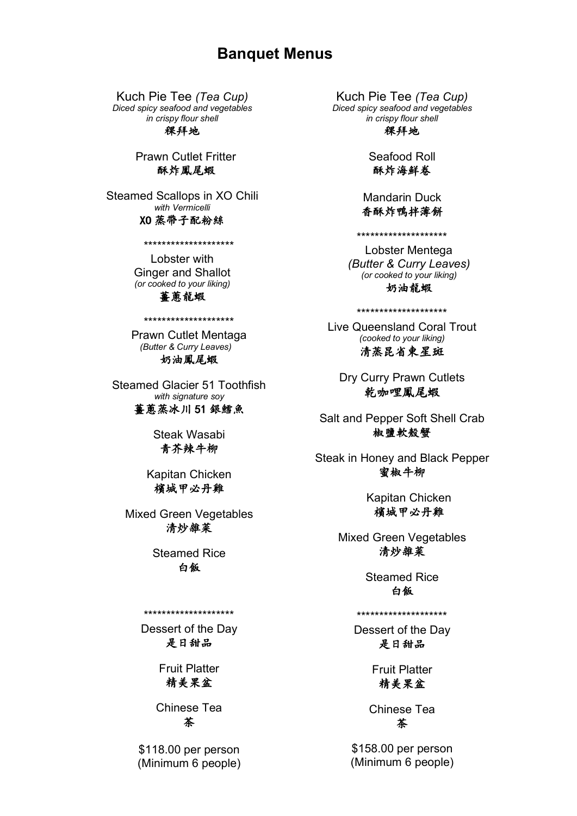#### **Banquet Menus**

Kuch Pie Tee *(Tea Cup) Diced spicy seafood and vegetables in crispy flour shell*

稞拜地

Prawn Cutlet Fritter 酥炸鳳尾蝦

Steamed Scallops in XO Chili *with Vermicelli*

#### XO 蒸帶子配粉絲

\*\*\*\*\*\*\*\*\*\*\*\*\*\*\*\*\*\*\*\*

Lobster with Ginger and Shallot *(or cooked to your liking)* 喜蔥龍蝦

Prawn Cutlet Mentaga *(Butter & Curry Leaves)* 奶油鳳尾蝦

\*\*\*\*\*\*\*\*\*\*\*\*\*\*\*\*\*\*\*\*

Steamed Glacier 51 Toothfish *with signature soy* **蔷蔥蒸冰川51銀鱈魚** 

> Steak Wasabi 青芥辣牛柳

Kapitan Chicken 檳城甲必丹雞

Mixed Green Vegetables 清炒雜菜

> Steamed Rice 白飯

#### \*\*\*\*\*\*\*\*\*\*\*\*\*\*\*\*\*\*\*\*

Dessert of the Day 是日甜品

> Fruit Platter 精美果盆

Chinese Tea 茶

\$118.00 per person (Minimum 6 people)

Kuch Pie Tee *(Tea Cup) Diced spicy seafood and vegetables in crispy flour shell*

稞拜地

Seafood Roll 酥炸海鮮卷

Mandarin Duck 香酥炸鴨拌薄餅

\*\*\*\*\*\*\*\*\*\*\*\*\*\*\*\*\*\*\*\*

Lobster Mentega *(Butter & Curry Leaves) (or cooked to your liking)* 奶油龍蝦

\*\*\*\*\*\*\*\*\*\*\*\*\*\*\*\*\*\*\*\*

Live Queensland Coral Trout *(cooked to your liking)* 清蒸昆省柬星斑

Dry Curry Prawn Cutlets 乾咖哩鳳尾蝦

Salt and Pepper Soft Shell Crab 椒鹽軟殼蟹

Steak in Honey and Black Pepper 蜜椒牛柳

> Kapitan Chicken 檳城甲必丹雞

Mixed Green Vegetables 清炒雜菜

> Steamed Rice 白飯

\*\*\*\*\*\*\*\*\*\*\*\*\*\*\*\*\*\*\*\*

Dessert of the Day 是日甜品

> Fruit Platter 精美果盆

Chinese Tea 茶

\$158.00 per person (Minimum 6 people)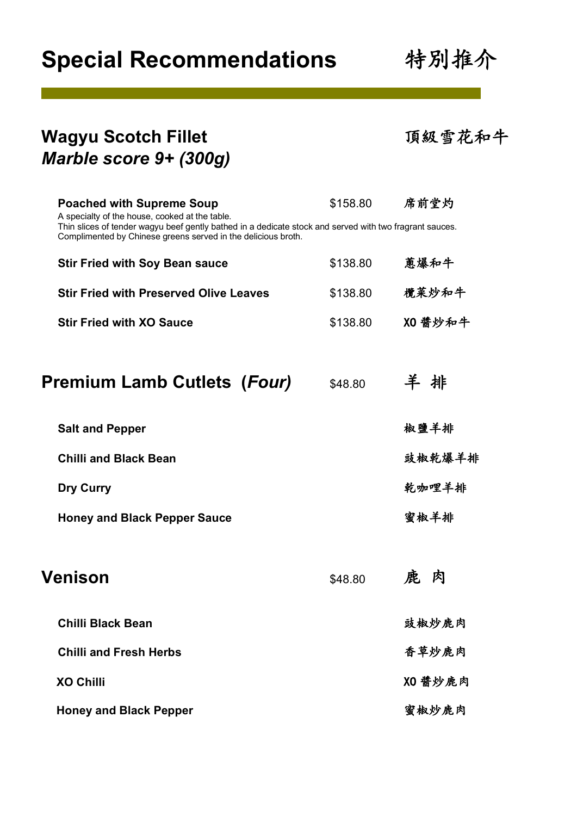## **Special Recommendations 特別推介**

| Wagyu Scotch Fillet<br>Marble score 9+ (300g)                                                                                                                                                                                                                  |          | 頂級雪花和牛  |
|----------------------------------------------------------------------------------------------------------------------------------------------------------------------------------------------------------------------------------------------------------------|----------|---------|
| <b>Poached with Supreme Soup</b><br>A specialty of the house, cooked at the table.<br>Thin slices of tender wagyu beef gently bathed in a dedicate stock and served with two fragrant sauces.<br>Complimented by Chinese greens served in the delicious broth. | \$158.80 | 席前堂灼    |
| <b>Stir Fried with Soy Bean sauce</b>                                                                                                                                                                                                                          | \$138.80 | 蔥爆和牛    |
| <b>Stir Fried with Preserved Olive Leaves</b>                                                                                                                                                                                                                  | \$138.80 | 欖菜炒和牛   |
| <b>Stir Fried with XO Sauce</b>                                                                                                                                                                                                                                | \$138.80 | XO 醬炒和牛 |
| <b>Premium Lamb Cutlets (Four)</b>                                                                                                                                                                                                                             | \$48.80  | 羊排      |
| <b>Salt and Pepper</b>                                                                                                                                                                                                                                         |          | 椒鹽羊排    |
| <b>Chilli and Black Bean</b>                                                                                                                                                                                                                                   |          | 豉椒乾爆羊排  |
| <b>Dry Curry</b>                                                                                                                                                                                                                                               |          | 乾咖哩羊排   |
| <b>Honey and Black Pepper Sauce</b>                                                                                                                                                                                                                            |          | 蜜椒羊排    |
| <b>Venison</b>                                                                                                                                                                                                                                                 | \$48.80  | 肉       |
| <b>Chilli Black Bean</b>                                                                                                                                                                                                                                       |          | 豉椒炒鹿肉   |
| <b>Chilli and Fresh Herbs</b>                                                                                                                                                                                                                                  |          | 香草炒鹿肉   |
| <b>XO Chilli</b>                                                                                                                                                                                                                                               |          | XO 醬炒鹿肉 |
| <b>Honey and Black Pepper</b>                                                                                                                                                                                                                                  |          | 蜜椒炒鹿肉   |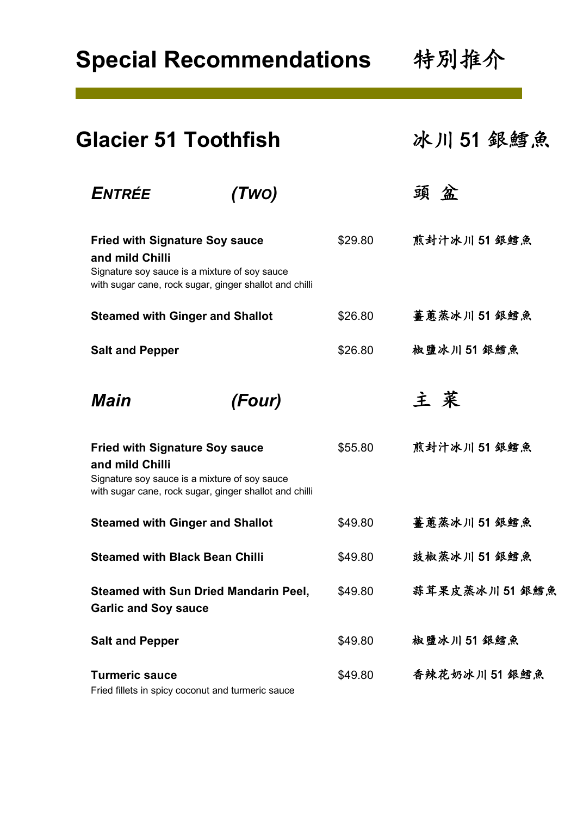**Special Recommendations 特別推介** 

| <b>Glacier 51 Toothfish</b>                                                                               |                                                        |         | 冰川51 銀鱈魚      |  |
|-----------------------------------------------------------------------------------------------------------|--------------------------------------------------------|---------|---------------|--|
| ENTRÉE                                                                                                    | (Two)                                                  |         | 頭盆            |  |
| <b>Fried with Signature Soy sauce</b><br>and mild Chilli<br>Signature soy sauce is a mixture of soy sauce | with sugar cane, rock sugar, ginger shallot and chilli | \$29.80 | 煎封汁冰川 51 銀鱈魚  |  |
| <b>Steamed with Ginger and Shallot</b>                                                                    |                                                        | \$26.80 | 薑蔥蒸冰川 51 銀鱈魚  |  |
| <b>Salt and Pepper</b>                                                                                    |                                                        | \$26.80 | 椒鹽冰川51銀鱈魚     |  |
| Main                                                                                                      | (Four)                                                 |         | 主菜            |  |
| <b>Fried with Signature Soy sauce</b><br>and mild Chilli<br>Signature soy sauce is a mixture of soy sauce | with sugar cane, rock sugar, ginger shallot and chilli | \$55.80 | 煎封汁冰川 51 銀鱈魚  |  |
| <b>Steamed with Ginger and Shallot</b>                                                                    |                                                        | \$49.80 | 薑蔥蒸冰川 51 銀鱈魚  |  |
| <b>Steamed with Black Bean Chilli</b>                                                                     |                                                        | \$49.80 | 豉椒蒸冰川51 銀鱈魚   |  |
| <b>Garlic and Soy sauce</b>                                                                               | <b>Steamed with Sun Dried Mandarin Peel,</b>           | \$49.80 | 蒜茸果皮蒸冰川51 銀鱈魚 |  |
| <b>Salt and Pepper</b>                                                                                    |                                                        | \$49.80 | 椒鹽冰川51銀鱈魚     |  |
| <b>Turmeric sauce</b><br>Fried fillets in spicy coconut and turmeric sauce                                |                                                        | \$49.80 | 香辣花奶冰川 51 銀鱈魚 |  |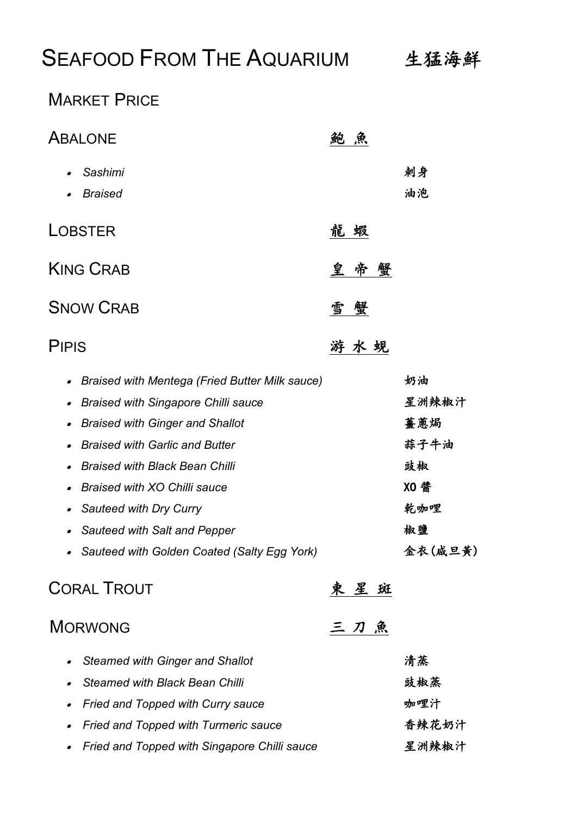### SEAFOOD FROM THE AQUARIUM 生猛海鮮

#### **MARKET PRICE**

| <b>ABALONE</b>                                                                                                                                                                                                                                                                                                                                                                                                  | 魚           |                                                                  |
|-----------------------------------------------------------------------------------------------------------------------------------------------------------------------------------------------------------------------------------------------------------------------------------------------------------------------------------------------------------------------------------------------------------------|-------------|------------------------------------------------------------------|
| Sashimi<br><b>Braised</b>                                                                                                                                                                                                                                                                                                                                                                                       |             | 刺身<br>油泡                                                         |
| <b>LOBSTER</b>                                                                                                                                                                                                                                                                                                                                                                                                  | 龍 蝦         |                                                                  |
| <b>KING CRAB</b>                                                                                                                                                                                                                                                                                                                                                                                                | 呈<br>帝<br>蟹 |                                                                  |
| <b>SNOW CRAB</b>                                                                                                                                                                                                                                                                                                                                                                                                | 雪<br>蟹      |                                                                  |
| <b>PIPIS</b>                                                                                                                                                                                                                                                                                                                                                                                                    | 游水蜆         |                                                                  |
| <b>Braised with Mentega (Fried Butter Milk sauce)</b><br>$\bullet$<br><b>Braised with Singapore Chilli sauce</b><br>$\bullet$<br><b>Braised with Ginger and Shallot</b><br><b>Braised with Garlic and Butter</b><br><b>Braised with Black Bean Chilli</b><br>Braised with XO Chilli sauce<br>Sauteed with Dry Curry<br>$\bullet$<br>Sauteed with Salt and Pepper<br>Sauteed with Golden Coated (Salty Egg York) |             | 奶油<br>星洲辣椒汁<br>薑蔥焗<br>蒜子牛油<br>豉椒<br>XO 醬<br>乾咖哩<br>椒鹽<br>金衣(咸旦黄) |
| <b>CORAL TROUT</b>                                                                                                                                                                                                                                                                                                                                                                                              | 東星斑         |                                                                  |
| <b>MORWONG</b>                                                                                                                                                                                                                                                                                                                                                                                                  | 三刀魚         |                                                                  |
| <b>Steamed with Ginger and Shallot</b><br><b>Steamed with Black Bean Chilli</b><br><b>Fried and Topped with Curry sauce</b>                                                                                                                                                                                                                                                                                     |             | 清蒸<br>豉椒蒸<br>咖哩汁                                                 |

• Fried and Topped with Turmeric sauce **the ending of the set of the set of the set of the set of the set of the set of the set of the set of the set of the set of the set of the set of the set of the set of the set of th** • Fried and Topped with Singapore Chilli sauce **Zames AR** 洲辣椒汁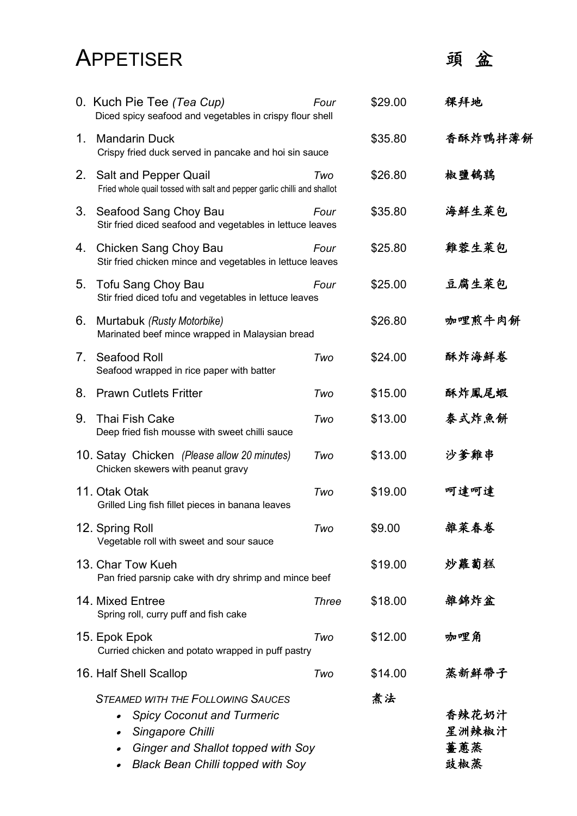### APPETISER 頭盆

|                                  | 0. Kuch Pie Tee (Tea Cup)<br>Diced spicy seafood and vegetables in crispy flour shell                                                                                                                         | Four         | \$29.00 | 稞拜地                          |
|----------------------------------|---------------------------------------------------------------------------------------------------------------------------------------------------------------------------------------------------------------|--------------|---------|------------------------------|
| 1.                               | <b>Mandarin Duck</b><br>Crispy fried duck served in pancake and hoi sin sauce                                                                                                                                 |              | \$35.80 | 香酥炸鴨拌薄餅                      |
|                                  | 2. Salt and Pepper Quail<br>Fried whole quail tossed with salt and pepper garlic chilli and shallot                                                                                                           | Two          | \$26.80 | 椒鹽鵪鶉                         |
| 3.                               | Seafood Sang Choy Bau<br>Stir fried diced seafood and vegetables in lettuce leaves                                                                                                                            | Four         | \$35.80 | 海鮮生菜包                        |
| 4.                               | Chicken Sang Choy Bau<br>Stir fried chicken mince and vegetables in lettuce leaves                                                                                                                            | Four         | \$25.80 | 雞蓉生菜包                        |
| 5.                               | <b>Tofu Sang Choy Bau</b><br>Stir fried diced tofu and vegetables in lettuce leaves                                                                                                                           | Four         | \$25.00 | 豆腐生菜包                        |
| 6.                               | Murtabuk (Rusty Motorbike)<br>Marinated beef mince wrapped in Malaysian bread                                                                                                                                 |              | \$26.80 | 咖哩煎牛肉餅                       |
| $7_{\scriptscriptstyle{\ddots}}$ | Seafood Roll<br>Seafood wrapped in rice paper with batter                                                                                                                                                     | Two          | \$24.00 | 酥炸海鮮卷                        |
| 8.                               | <b>Prawn Cutlets Fritter</b>                                                                                                                                                                                  | Two          | \$15.00 | 酥炸鳳尾蝦                        |
| 9.                               | <b>Thai Fish Cake</b><br>Deep fried fish mousse with sweet chilli sauce                                                                                                                                       | Two          | \$13.00 | 泰式炸魚餅                        |
|                                  | 10. Satay Chicken (Please allow 20 minutes)<br>Chicken skewers with peanut gravy                                                                                                                              | Two          | \$13.00 | 沙爹雞串                         |
|                                  | 11. Otak Otak<br>Grilled Ling fish fillet pieces in banana leaves                                                                                                                                             | Two          | \$19.00 | 呵達呵達                         |
|                                  | 12. Spring Roll<br>Vegetable roll with sweet and sour sauce                                                                                                                                                   | Two          | \$9.00  | 雜菜春卷                         |
|                                  | 13. Char Tow Kueh<br>Pan fried parsnip cake with dry shrimp and mince beef                                                                                                                                    |              | \$19.00 | 炒蘿蔔糕                         |
|                                  | 14. Mixed Entree<br>Spring roll, curry puff and fish cake                                                                                                                                                     | <b>Three</b> | \$18.00 | 雜錦炸盆                         |
|                                  | 15. Epok Epok<br>Curried chicken and potato wrapped in puff pastry                                                                                                                                            | Two          | \$12.00 | 咖哩角                          |
|                                  | 16. Half Shell Scallop                                                                                                                                                                                        | Two          | \$14.00 | 蒸新鮮帶子                        |
|                                  | <b>STEAMED WITH THE FOLLOWING SAUCES</b><br><b>Spicy Coconut and Turmeric</b><br>$\bullet$<br>Singapore Chilli<br>$\bullet$<br>Ginger and Shallot topped with Soy<br><b>Black Bean Chilli topped with Soy</b> |              | 煮法      | 香辣花奶汁<br>星洲辣椒汁<br>薑蔥蒸<br>豉椒蒸 |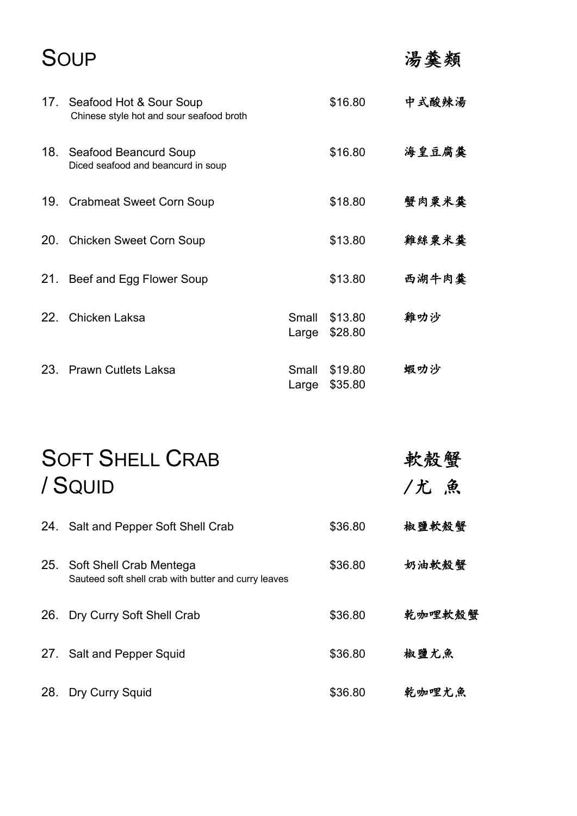### SOUP きょうしゃ 湯羹類

|     | 17. Seafood Hot & Sour Soup<br>Chinese style hot and sour seafood broth |                | \$16.80            | 中式酸辣湯 |
|-----|-------------------------------------------------------------------------|----------------|--------------------|-------|
|     | 18. Seafood Beancurd Soup<br>Diced seafood and beancurd in soup         |                | \$16.80            | 海皇豆腐羹 |
|     | 19. Crabmeat Sweet Corn Soup                                            |                | \$18.80            | 蟹肉粟米羹 |
|     | 20. Chicken Sweet Corn Soup                                             |                | \$13.80            | 雞絲粟米羹 |
| 21. | Beef and Egg Flower Soup                                                |                | \$13.80            | 西湖牛肉羹 |
|     | 22. Chicken Laksa                                                       | Small<br>Large | \$13.80<br>\$28.80 | 雞叻沙   |
| 23. | <b>Prawn Cutlets Laksa</b>                                              | Small<br>Large | \$19.80<br>\$35.80 | 蝦叻沙   |

|     | <b>SOFT SHELL CRAB</b><br>/ SQUID                                                   |         | 軟殼蟹<br>/尤 魚 |
|-----|-------------------------------------------------------------------------------------|---------|-------------|
|     | 24. Salt and Pepper Soft Shell Crab                                                 | \$36.80 | 椒鹽軟殼蟹       |
|     | 25. Soft Shell Crab Mentega<br>Sauteed soft shell crab with butter and curry leaves | \$36.80 | 奶油軟殼蟹       |
| 26. | Dry Curry Soft Shell Crab                                                           | \$36.80 | 乾咖哩軟殼蟹      |
|     | 27. Salt and Pepper Squid                                                           | \$36.80 | 椒鹽尤魚        |
| 28. | Dry Curry Squid                                                                     | \$36.80 | 乾咖哩尤魚       |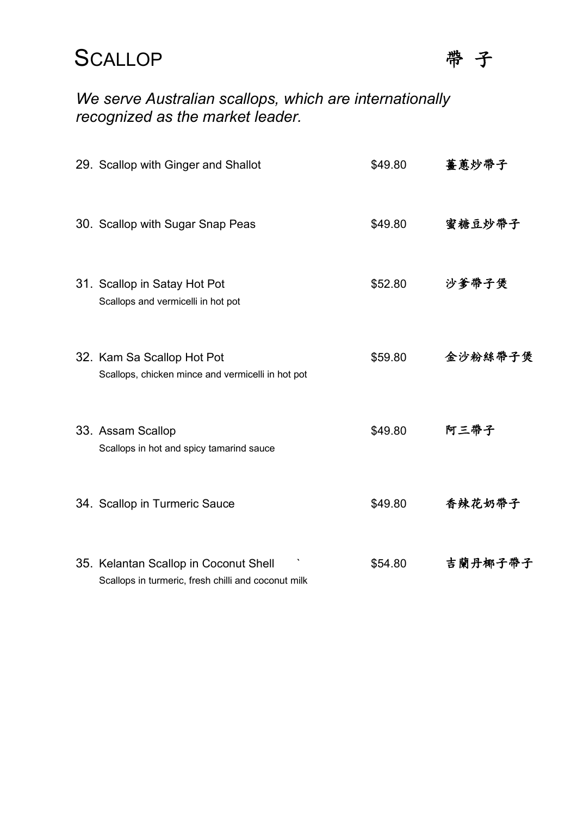#### SCALLOP <sup>帶子</sup>



#### *We serve Australian scallops, which are internationally recognized as the market leader.*

| 29. Scallop with Ginger and Shallot                                                          | \$49.80 | 薑蔥炒帶子   |
|----------------------------------------------------------------------------------------------|---------|---------|
| 30. Scallop with Sugar Snap Peas                                                             | \$49.80 | 蜜糖豆炒帶子  |
| 31. Scallop in Satay Hot Pot<br>Scallops and vermicelli in hot pot                           | \$52.80 | 沙爹帶子煲   |
| 32. Kam Sa Scallop Hot Pot<br>Scallops, chicken mince and vermicelli in hot pot              | \$59.80 | 金沙粉絲帶子煲 |
| 33. Assam Scallop<br>Scallops in hot and spicy tamarind sauce                                | \$49.80 | 阿三帶子    |
| 34. Scallop in Turmeric Sauce                                                                | \$49.80 | 香辣花奶帶子  |
| 35. Kelantan Scallop in Coconut Shell<br>Scallops in turmeric, fresh chilli and coconut milk | \$54.80 | 吉蘭丹椰子帶子 |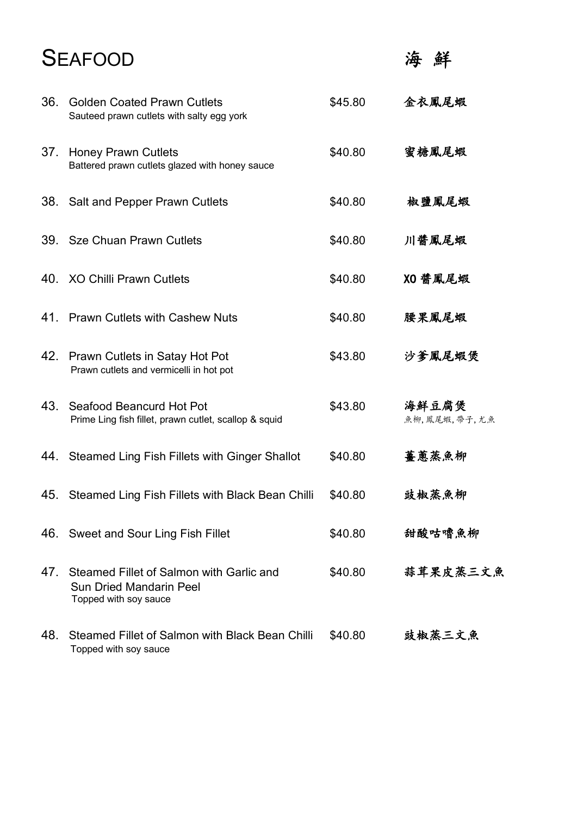### **SEAFOOD**

海鮮

| 36. | <b>Golden Coated Prawn Cutlets</b><br>Sauteed prawn cutlets with salty egg york                     | \$45.80 | 金衣鳳尾蝦                 |
|-----|-----------------------------------------------------------------------------------------------------|---------|-----------------------|
| 37. | <b>Honey Prawn Cutlets</b><br>Battered prawn cutlets glazed with honey sauce                        | \$40.80 | 蜜糖鳳尾蝦                 |
|     | 38. Salt and Pepper Prawn Cutlets                                                                   | \$40.80 | 椒鹽鳳尾蝦                 |
|     | 39. Sze Chuan Prawn Cutlets                                                                         | \$40.80 | 川醬鳳尾蝦                 |
| 40. | <b>XO Chilli Prawn Cutlets</b>                                                                      | \$40.80 | XO 醤鳳尾蝦               |
|     | 41. Prawn Cutlets with Cashew Nuts                                                                  | \$40.80 | 腰果鳳尾蝦                 |
|     | 42. Prawn Cutlets in Satay Hot Pot<br>Prawn cutlets and vermicelli in hot pot                       | \$43.80 | 沙爹鳳尾蝦煲                |
| 43. | Seafood Beancurd Hot Pot<br>Prime Ling fish fillet, prawn cutlet, scallop & squid                   | \$43.80 | 海鮮豆腐煲<br>魚柳,鳳尾蝦,帶子,尤魚 |
| 44. | Steamed Ling Fish Fillets with Ginger Shallot                                                       | \$40.80 | 薑蔥蒸魚柳                 |
| 45. | Steamed Ling Fish Fillets with Black Bean Chilli                                                    | \$40.80 | 豉椒蒸魚柳                 |
|     | 46. Sweet and Sour Ling Fish Fillet                                                                 | \$40.80 | 甜酸咕嚕魚柳                |
| 47. | Steamed Fillet of Salmon with Garlic and<br><b>Sun Dried Mandarin Peel</b><br>Topped with soy sauce | \$40.80 | 蒜茸果皮蒸三文魚              |
| 48. | Steamed Fillet of Salmon with Black Bean Chilli<br>Topped with soy sauce                            | \$40.80 | 豉椒蒸三文魚                |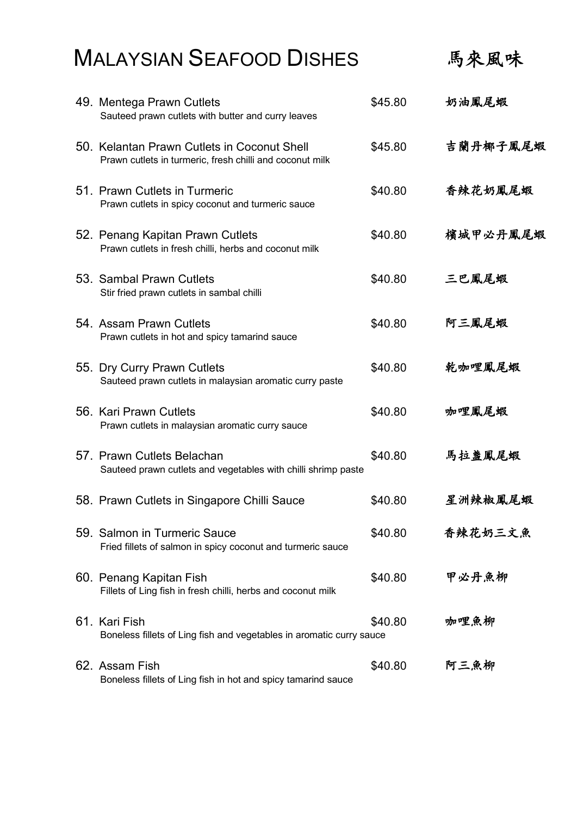|  | <b>MALAYSIAN SEAFOOD DISHES</b>                                                                         |         | 馬來風味     |
|--|---------------------------------------------------------------------------------------------------------|---------|----------|
|  | 49. Mentega Prawn Cutlets<br>Sauteed prawn cutlets with butter and curry leaves                         | \$45.80 | 奶油鳳尾蝦    |
|  | 50. Kelantan Prawn Cutlets in Coconut Shell<br>Prawn cutlets in turmeric, fresh chilli and coconut milk | \$45.80 | 吉蘭丹椰子鳳尾蝦 |
|  | 51. Prawn Cutlets in Turmeric<br>Prawn cutlets in spicy coconut and turmeric sauce                      | \$40.80 | 香辣花奶鳳尾蝦  |
|  | 52. Penang Kapitan Prawn Cutlets<br>Prawn cutlets in fresh chilli, herbs and coconut milk               | \$40.80 | 檳城甲必丹鳳尾蝦 |
|  | 53. Sambal Prawn Cutlets<br>Stir fried prawn cutlets in sambal chilli                                   | \$40.80 | 三巴鳳尾蝦    |
|  | 54. Assam Prawn Cutlets<br>Prawn cutlets in hot and spicy tamarind sauce                                | \$40.80 | 阿三鳳尾蝦    |
|  | 55. Dry Curry Prawn Cutlets<br>Sauteed prawn cutlets in malaysian aromatic curry paste                  | \$40.80 | 乾咖哩鳳尾蝦   |
|  | 56. Kari Prawn Cutlets<br>Prawn cutlets in malaysian aromatic curry sauce                               | \$40.80 | 咖哩鳳尾蝦    |
|  | 57. Prawn Cutlets Belachan<br>Sauteed prawn cutlets and vegetables with chilli shrimp paste             | \$40.80 | 馬拉盞鳳尾蝦   |
|  | 58. Prawn Cutlets in Singapore Chilli Sauce                                                             | \$40.80 | 星洲辣椒鳳尾蝦  |

| 59. Salmon in Turmeric Sauce<br>Fried fillets of salmon in spicy coconut and turmeric sauce | \$40.80 | 香辣花奶三文魚 |
|---------------------------------------------------------------------------------------------|---------|---------|
| 60.  Penang Kapitan Fish<br>Fillets of Ling fish in fresh chilli, herbs and coconut milk    | \$40.80 | 甲必丹魚柳   |
| 61.  Kari Fish<br>Boneless fillets of Ling fish and vegetables in aromatic curry sauce      | \$40.80 | 咖哩魚柳    |
| 62. Assam Fish<br>Boneless fillets of Ling fish in hot and spicy tamarind sauce             | \$40.80 | 阿三魚柳    |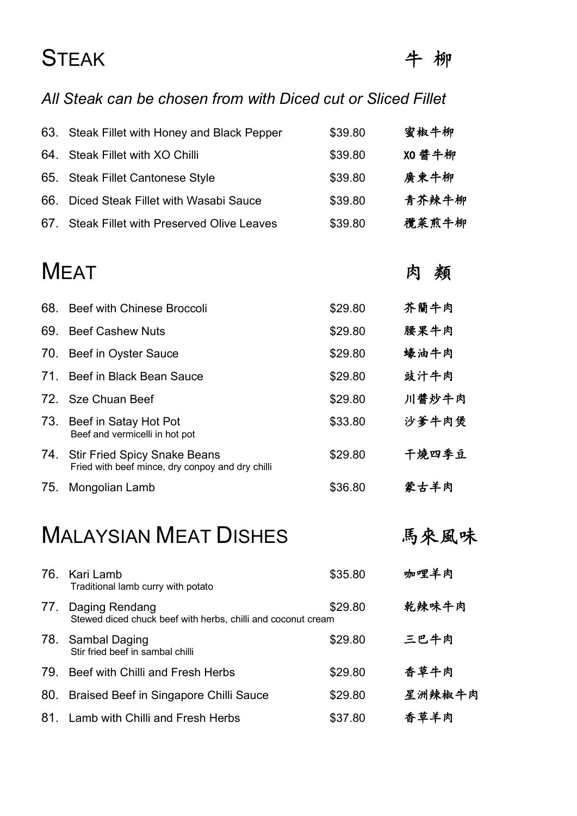### STEAK キ柳

#### *All Steak can be chosen from with Diced cut or Sliced Fillet*

| 63. Steak Fillet with Honey and Black Pepper | \$39.80 | 蜜椒牛柳   |
|----------------------------------------------|---------|--------|
| 64. Steak Fillet with XO Chilli              | \$39.80 | XO 醬牛柳 |
| 65. Steak Fillet Cantonese Style             | \$39.80 | 廣東牛柳   |
| 66. Diced Steak Fillet with Wasabi Sauce     | \$39.80 | 青芥辣牛柳  |
| 67. Steak Fillet with Preserved Olive Leaves | \$39.80 | 欖菜煎牛柳  |

### MEAT 㚿五

| 68. | Beef with Chinese Broccoli                                                           | \$29.80 | 芥籣牛肉  |
|-----|--------------------------------------------------------------------------------------|---------|-------|
| 69. | <b>Beef Cashew Nuts</b>                                                              | \$29.80 | 腰果牛肉  |
|     | 70. Beef in Oyster Sauce                                                             | \$29.80 | 蠔油牛肉  |
| 71. | Beef in Black Bean Sauce                                                             | \$29.80 | 豉汁牛肉  |
|     | 72. Sze Chuan Beef                                                                   | \$29.80 | 川醬炒牛肉 |
|     | 73. Beef in Satay Hot Pot<br>Beef and vermicelli in hot pot                          | \$33.80 | 沙爹牛肉煲 |
|     | 74. Stir Fried Spicy Snake Beans<br>Fried with beef mince, dry conpoy and dry chilli | \$29.80 | 干燒四季豆 |
| 75. | Mongolian Lamb                                                                       | \$36.80 | 蒙古羊肉  |

### MALAYSIAN MEAT DISHES 5 馬來風味

|     | 76. Kari Lamb<br>Traditional lamb curry with potato                            | \$35.80 | 咖哩羊肉   |
|-----|--------------------------------------------------------------------------------|---------|--------|
| 77. | Daging Rendang<br>Stewed diced chuck beef with herbs, chilli and coconut cream | \$29.80 | 乾辣味牛肉  |
|     | 78. Sambal Daging<br>Stir fried beef in sambal chilli                          | \$29.80 | 三巴牛肉   |
| 79. | Beef with Chilli and Fresh Herbs                                               | \$29.80 | 香草牛肉   |
| 80. | Braised Beef in Singapore Chilli Sauce                                         | \$29.80 | 星洲辣椒牛肉 |
| 81. | Lamb with Chilli and Fresh Herbs                                               | \$37.80 | 香草羊肉   |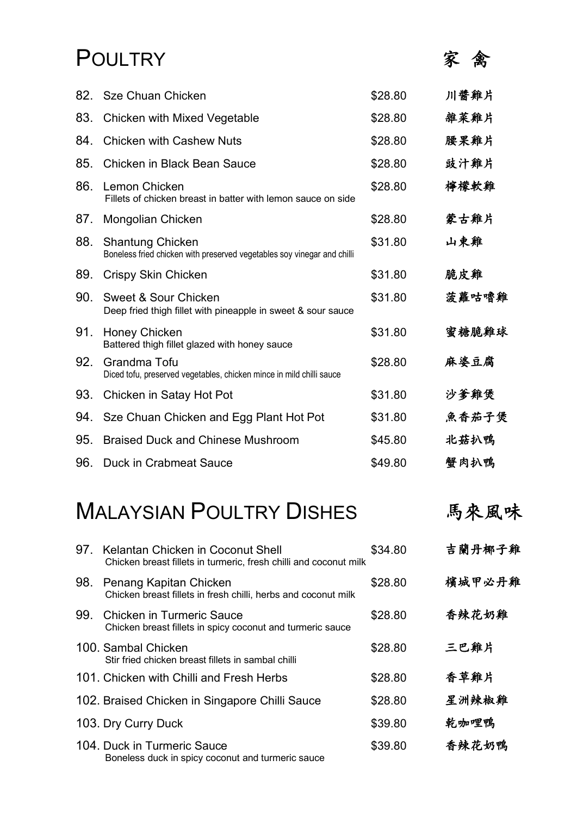#### POULTRY 家禽

| 82. | Sze Chuan Chicken                                                                                  | \$28.80 | 川醬雞片  |
|-----|----------------------------------------------------------------------------------------------------|---------|-------|
| 83. | Chicken with Mixed Vegetable                                                                       | \$28.80 | 雜菜雞片  |
| 84. | <b>Chicken with Cashew Nuts</b>                                                                    | \$28.80 | 腰果雞片  |
| 85. | Chicken in Black Bean Sauce                                                                        | \$28.80 | 豉汁雞片  |
| 86. | Lemon Chicken<br>Fillets of chicken breast in batter with lemon sauce on side                      | \$28.80 | 檸檬軟雞  |
| 87. | Mongolian Chicken                                                                                  | \$28.80 | 蒙古雞片  |
| 88. | <b>Shantung Chicken</b><br>Boneless fried chicken with preserved vegetables soy vinegar and chilli | \$31.80 | 山東雞   |
| 89. | Crispy Skin Chicken                                                                                | \$31.80 | 脆皮雞   |
| 90. | Sweet & Sour Chicken<br>Deep fried thigh fillet with pineapple in sweet & sour sauce               | \$31.80 | 菠蘿咕嚕雞 |
| 91. | Honey Chicken<br>Battered thigh fillet glazed with honey sauce                                     | \$31.80 | 蜜糖脆雞球 |
| 92. | Grandma Tofu<br>Diced tofu, preserved vegetables, chicken mince in mild chilli sauce               | \$28.80 | 麻婆豆腐  |
| 93. | Chicken in Satay Hot Pot                                                                           | \$31.80 | 沙爹雞煲  |
| 94. | Sze Chuan Chicken and Egg Plant Hot Pot                                                            | \$31.80 | 魚香茄子煲 |
| 95. | <b>Braised Duck and Chinese Mushroom</b>                                                           | \$45.80 | 北菇扒鴨  |
| 96. | <b>Duck in Crabmeat Sauce</b>                                                                      | \$49.80 | 蟹肉扒鴨  |

### MALAYSIAN POULTRY DISHES 高來風味

| 97. | Kelantan Chicken in Coconut Shell<br>Chicken breast fillets in turmeric, fresh chilli and coconut milk | \$34.80 | 吉蘭丹椰子雞 |
|-----|--------------------------------------------------------------------------------------------------------|---------|--------|
| 98. | Penang Kapitan Chicken<br>Chicken breast fillets in fresh chilli, herbs and coconut milk               | \$28.80 | 檳城甲必丹雞 |
| 99. | <b>Chicken in Turmeric Sauce</b><br>Chicken breast fillets in spicy coconut and turmeric sauce         | \$28.80 | 香辣花奶雞  |
|     | 100. Sambal Chicken<br>Stir fried chicken breast fillets in sambal chilli                              | \$28.80 | 三巴雞片   |
|     | 101. Chicken with Chilli and Fresh Herbs                                                               | \$28.80 | 香草雞片   |
|     | 102. Braised Chicken in Singapore Chilli Sauce                                                         | \$28.80 | 星洲辣椒雞  |
|     | 103. Dry Curry Duck                                                                                    | \$39.80 | 乾咖哩鴨   |
|     | 104. Duck in Turmeric Sauce<br>Boneless duck in spicy coconut and turmeric sauce                       | \$39.80 | 香辣花奶鴨  |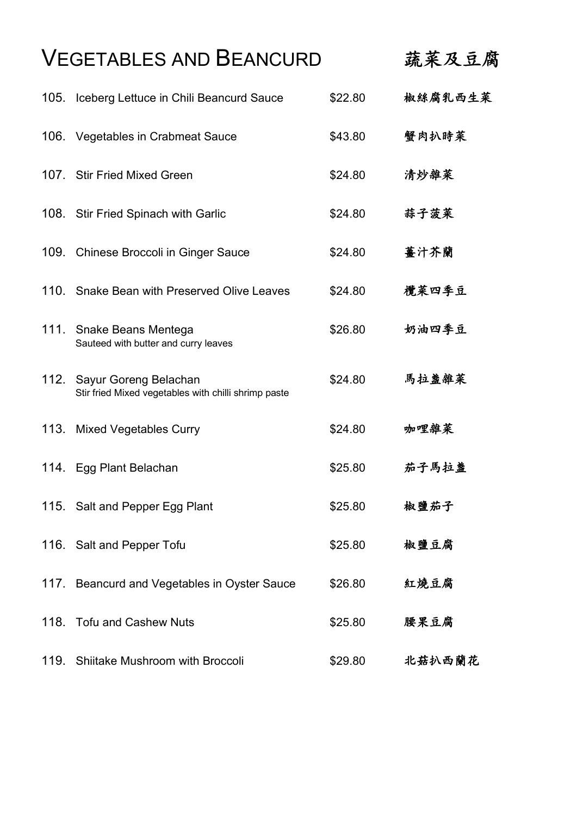### VEGETABLES AND BEANCURD 蔬菜及豆腐

| 105. | Iceberg Lettuce in Chili Beancurd Sauce                                       | \$22.80 | 椒絲腐乳西生菜 |
|------|-------------------------------------------------------------------------------|---------|---------|
|      | 106. Vegetables in Crabmeat Sauce                                             | \$43.80 | 蟹肉扒時菜   |
|      | 107. Stir Fried Mixed Green                                                   | \$24.80 | 清炒雜菜    |
|      | 108. Stir Fried Spinach with Garlic                                           | \$24.80 | 蒜子菠菜    |
|      | 109. Chinese Broccoli in Ginger Sauce                                         | \$24.80 | 薑汁芥蘭    |
|      | 110. Snake Bean with Preserved Olive Leaves                                   | \$24.80 | 欖菜四季豆   |
| 111. | Snake Beans Mentega<br>Sauteed with butter and curry leaves                   | \$26.80 | 奶油四季豆   |
| 112. | Sayur Goreng Belachan<br>Stir fried Mixed vegetables with chilli shrimp paste | \$24.80 | 馬拉盞雜菜   |
|      | 113. Mixed Vegetables Curry                                                   | \$24.80 | 咖哩雜菜    |
|      | 114. Egg Plant Belachan                                                       | \$25.80 | 茄子馬拉盞   |
|      | 115. Salt and Pepper Egg Plant                                                | \$25.80 | 椒鹽茄子    |
|      | 116. Salt and Pepper Tofu                                                     | \$25.80 | 椒鹽豆腐    |
|      | 117. Beancurd and Vegetables in Oyster Sauce                                  | \$26.80 | 紅燒豆腐    |
| 118. | <b>Tofu and Cashew Nuts</b>                                                   | \$25.80 | 腰果豆腐    |
| 119. | Shiitake Mushroom with Broccoli                                               | \$29.80 | 北菇扒西蘭花  |